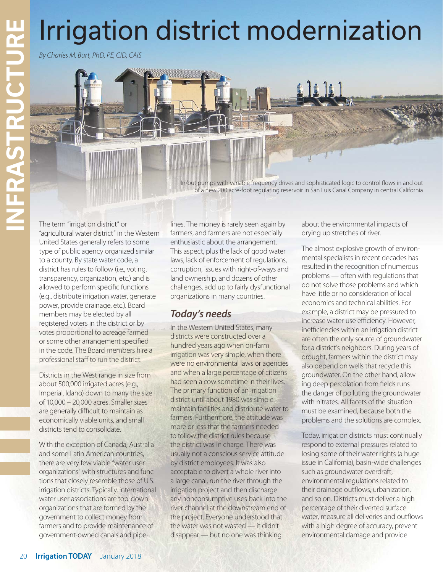In/out pumps with variable frequency drives and sophisticated logic to control flows in and out of a new 200 acre-foot regulating reservoir in San Luis Canal Company in central California

### The term "irrigation district" or "agricultural water district" in the Western United States generally refers to some type of public agency organized similar to a county. By state water code, a district has rules to follow (i.e., voting, transparency, organization, etc.) and is allowed to perform specific functions (e.g., distribute irrigation water, generate power, provide drainage, etc.). Board members may be elected by all registered voters in the district or by votes proportional to acreage farmed or some other arrangement specified in the code. The Board members hire a professional staff to run the district.

Districts in the West range in size from about 500,000 irrigated acres (e.g., Imperial, Idaho) down to many the size of 10,000 – 20,000 acres. Smaller sizes are generally difficult to maintain as economically viable units, and small districts tend to consolidate.

With the exception of Canada, Australia and some Latin American countries, there are very few viable "water user organizations" with structures and functions that closely resemble those of U.S. irrigation districts. Typically, international water user associations are top-down organizations that are formed by the government to collect money from farmers and to provide maintenance of government-owned canals and pipelines. The money is rarely seen again by farmers, and farmers are not especially enthusiastic about the arrangement. This aspect, plus the lack of good water laws, lack of enforcement of regulations, corruption, issues with right-of-ways and land ownership, and dozens of other challenges, add up to fairly dysfunctional organizations in many countries.

# *Today's needs*

**Irrigation district modernization**<br> **Example the control of the control of the control of the control of the control of the control of the control of the control of the control of the control of the control of the contro** In the Western United States, many districts were constructed over a hundred years ago when on-farm irrigation was very simple, when there were no environmental laws or agencies and when a large percentage of citizens had seen a cow sometime in their lives. The primary function of an irrigation district until about 1980 was simple: maintain facilities and distribute water to farmers. Furthermore, the attitude was more or less that the farmers needed to follow the district rules because the district was in charge. There was usually not a conscious service attitude by district employees. It was also acceptable to divert a whole river into a large canal, run the river through the irrigation project and then discharge any nonconsumptive uses back into the river channel at the downstream end of the project. Everyone understood that the water was not wasted — it didn't disappear — but no one was thinking

about the environmental impacts of drying up stretches of river.

The almost explosive growth of environmental specialists in recent decades has resulted in the recognition of numerous problems — often with regulations that do not solve those problems and which have little or no consideration of local economics and technical abilities. For example, a district may be pressured to increase water-use efficiency. However, inefficiencies within an irrigation district are often the only source of groundwater for a district's neighbors. During years of drought, farmers within the district may also depend on wells that recycle this groundwater. On the other hand, allowing deep percolation from fields runs the danger of polluting the groundwater with nitrates. All facets of the situation must be examined, because both the problems and the solutions are complex.

Today, irrigation districts must continually respond to external pressures related to losing some of their water rights (a huge issue in California), basin-wide challenges such as groundwater overdraft, environmental regulations related to their drainage outflows, urbanization, and so on. Districts must deliver a high percentage of their diverted surface water, measure all deliveries and outflows with a high degree of accuracy, prevent environmental damage and provide